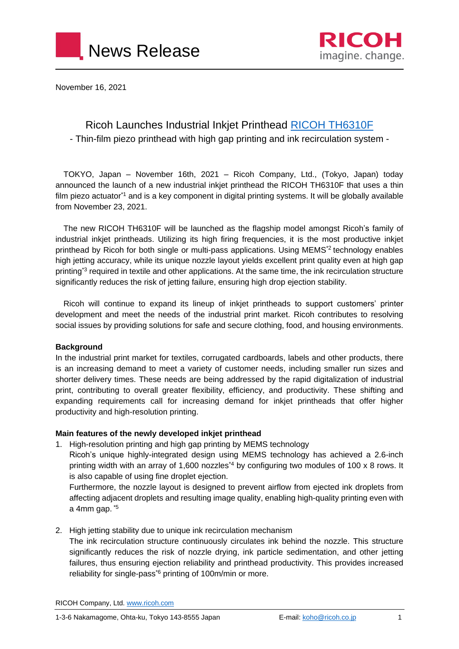



November 16, 2021

# Ricoh Launches Industrial Inkjet Printhead [RICOH TH6310F](https://industry.ricoh.com/en/industrialinkjet/th/6310f) - Thin-film piezo printhead with high gap printing and ink recirculation system -

TOKYO, Japan – November 16th, 2021 – Ricoh Company, Ltd., (Tokyo, Japan) today announced the launch of a new industrial inkjet printhead the RICOH TH6310F that uses a thin film piezo actuator<sup>\*1</sup> and is a key component in digital printing systems. It will be globally available from November 23, 2021.

The new RICOH TH6310F will be launched as the flagship model amongst Ricoh's family of industrial inkjet printheads. Utilizing its high firing frequencies, it is the most productive inkjet printhead by Ricoh for both single or multi-pass applications. Using MEMS<sup>\*2</sup> technology enables high jetting accuracy, while its unique nozzle layout yields excellent print quality even at high gap printing\*3 required in textile and other applications. At the same time, the ink recirculation structure significantly reduces the risk of jetting failure, ensuring high drop ejection stability.

Ricoh will continue to expand its lineup of inkjet printheads to support customers' printer development and meet the needs of the industrial print market. Ricoh contributes to resolving social issues by providing solutions for safe and secure clothing, food, and housing environments.

#### **Background**

In the industrial print market for textiles, corrugated cardboards, labels and other products, there is an increasing demand to meet a variety of customer needs, including smaller run sizes and shorter delivery times. These needs are being addressed by the rapid digitalization of industrial print, contributing to overall greater flexibility, efficiency, and productivity. These shifting and expanding requirements call for increasing demand for inkjet printheads that offer higher productivity and high-resolution printing.

### **Main features of the newly developed inkjet printhead**

1. High-resolution printing and high gap printing by MEMS technology

Ricoh's unique highly-integrated design using MEMS technology has achieved a 2.6-inch printing width with an array of 1,600 nozzles<sup>\*4</sup> by configuring two modules of 100 x 8 rows. It is also capable of using fine droplet ejection.

Furthermore, the nozzle layout is designed to prevent airflow from ejected ink droplets from affecting adjacent droplets and resulting image quality, enabling high-quality printing even with a 4mm gap. \*5

2. High jetting stability due to unique ink recirculation mechanism

The ink recirculation structure continuously circulates ink behind the nozzle. This structure significantly reduces the risk of nozzle drying, ink particle sedimentation, and other jetting failures, thus ensuring ejection reliability and printhead productivity. This provides increased reliability for single-pass<sup>\*6</sup> printing of 100m/min or more.

RICOH Company, Ltd[. www.ricoh.com](http://www.ricoh.com/)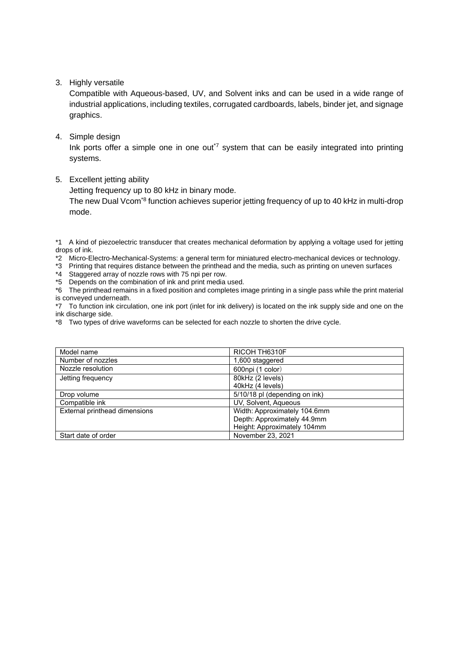3. Highly versatile

Compatible with Aqueous-based, UV, and Solvent inks and can be used in a wide range of industrial applications, including textiles, corrugated cardboards, labels, binder jet, and signage graphics.

4. Simple design

Ink ports offer a simple one in one out<sup> $7$ </sup> system that can be easily integrated into printing systems.

5. Excellent jetting ability

Jetting frequency up to 80 kHz in binary mode.

The new Dual Vcom<sup>\*8</sup> function achieves superior jetting frequency of up to 40 kHz in multi-drop mode.

\*1 A kind of piezoelectric transducer that creates mechanical deformation by applying a voltage used for jetting drops of ink.

\*2 Micro-Electro-Mechanical-Systems: a general term for miniatured electro-mechanical devices or technology.

\*3 Printing that requires distance between the printhead and the media, such as printing on uneven surfaces

\*4 Staggered array of nozzle rows with 75 npi per row.

\*5 Depends on the combination of ink and print media used.

\*6 The printhead remains in a fixed position and completes image printing in a single pass while the print material is conveyed underneath.

\*7 To function ink circulation, one ink port (inlet for ink delivery) is located on the ink supply side and one on the ink discharge side.

\*8 Two types of drive waveforms can be selected for each nozzle to shorten the drive cycle.

| RICOH TH6310F                 |
|-------------------------------|
| 1,600 staggered               |
| 600npi (1 color)              |
| 80kHz (2 levels)              |
| 40kHz (4 levels)              |
| 5/10/18 pl (depending on ink) |
| UV, Solvent, Aqueous          |
| Width: Approximately 104.6mm  |
| Depth: Approximately 44.9mm   |
| Height: Approximately 104mm   |
| November 23, 2021             |
|                               |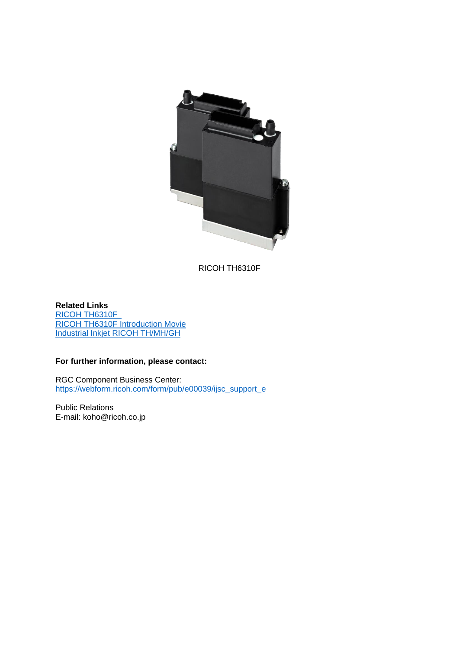

RICOH TH6310F

**Related Links** [RICOH TH6310F](https://industry.ricoh.com/en/industrialinkjet/th/6310f)  RICOH TH6310F [Introduction Movie](https://youtu.be/BxBVjUse8Bo) [Industrial Inkjet RICOH TH/MH/GH](https://industry.ricoh.com/en/industrialinkjet/mh)

## **For further information, please contact:**

RGC Component Business Center: [https://webform.ricoh.com/form/pub/e00039/ijsc\\_support\\_e](https://webform.ricoh.com/form/pub/e00039/ijsc_support_e)

Public Relations E-mail: koho@ricoh.co.jp